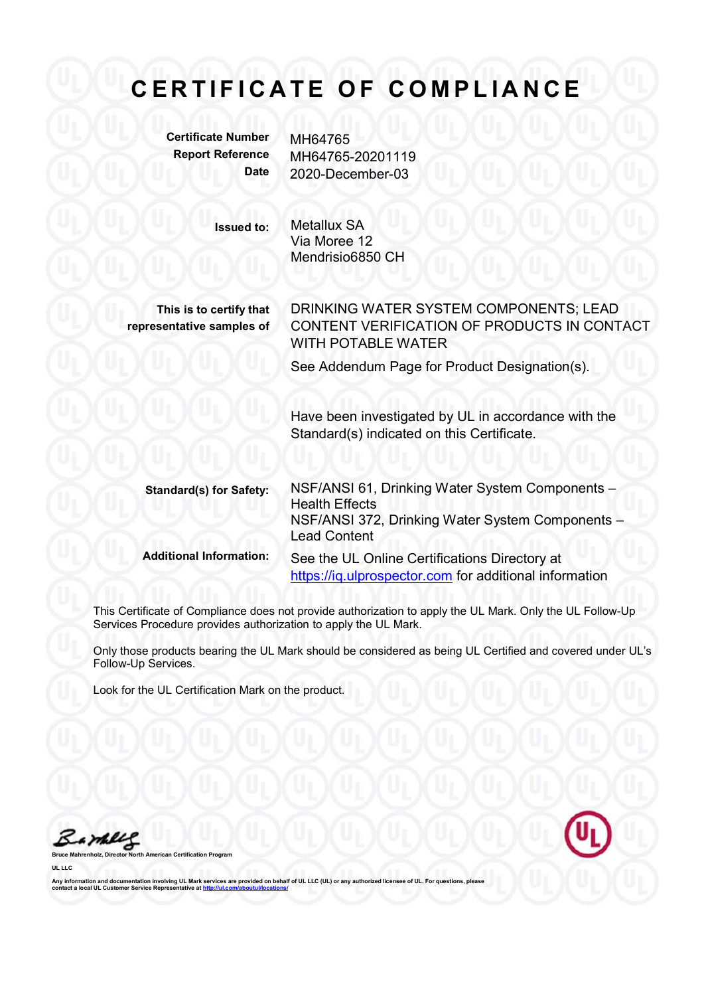## C E R T I F I C A T E O F C O M P L I A N C E<br>
Certificate Number MH64765<br>
Report Reference MH64765-20201119

Certificate Number MH64765

Report Reference MH64765-20201119 Date 2020-December-03

> Issued to: Metallux SA Via Moree 12 Mendrisio6850 CH

This is to certify that representative samples of DRINKING WATER SYSTEM COMPONENTS; LEAD CONTENT VERIFICATION OF PRODUCTS IN CONTACT WITH POTABLE WATER

See Addendum Page for Product Designation(s).

Have been investigated by UL in accordance with the Standard(s) indicated on this Certificate.

| <b>Standard(s) for Safety:</b> | NSF/ANSI 61, Drinking Water System Components -<br><b>Health Effects</b><br>NSF/ANSI 372, Drinking Water System Components -<br><b>Lead Content</b> |
|--------------------------------|-----------------------------------------------------------------------------------------------------------------------------------------------------|
| <b>Additional Information:</b> | See the UL Online Certifications Directory at<br>https://iq.ulprospector.com for additional information                                             |

This Certificate of Compliance does not provide authorization to apply the UL Mark. Only the UL Follow-Up Services Procedure provides authorization to apply the UL Mark.

Only those products bearing the UL Mark should be considered as being UL Certified and covered under UL's Follow-Up Services.

Look for the UL Certification Mark on the product.

a mhli

Bruce Mahrenholz, Director North American Certification Program<br>UL LLC<br>Any information and documentation involving UL Mark services are provided on behalf of UL LLC (UL) or any authorized licensee of UL. For questions, ple